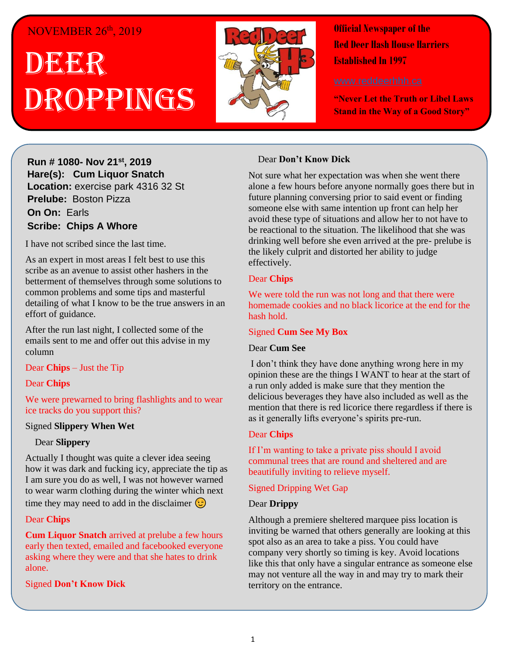## NOVEMBER 26th, 2019

## . 1 DEER h  $\overline{\phantom{a}}$ Droppings



**Official Newspaper of the Red Deer Hash House Harriers Established In 1997** 

**"Never Let the Truth or Libel Laws Stand in the Way of a Good Story"**

**Hare(s): Deep Throat with a little help from her Run # 1080- Nov 21st , 2019 virgin friend Hare(s): Cum Liquor Snatch** Location: exercise park 4316 32 St **Prelube:** Boston Pizza **On On: Earls Scribe: Chips A Whore** *Have Scribe: Chips A Whore Hard day of <b>a hard day of <i>Leville* 

I have not scribed since the last time.

As an expert in most areas I felt best to use this betterment of themselves through some solutions to common problems and some tips and masterful effort of guidance. scribe as an avenue to assist other hashers in the detailing of what I know to be the true answers in an

After the run last night, I collected some of the emails sent to me and offer out this advise in my column

#### **Throat.** Dear **Chips** – Just the Tip

#### Dear **Chips**

We were prewarned to bring flashlights and to wear **gospel that comes of your support this?** *government ice tracks do you support this?* 

### *shirt based on those comments to assist themselves in*  Signed **Slippery When Wet**

## *daily self-improvement?* Dear **Slippery**

how it was dark and fucking icy, appreciate the tip as I am sure you do as well, I was not however warned time they may need to add in the disclaimer  $\bigodot$ Actually I thought was quite a clever idea seeing to wear warm clothing during the winter which next

## was very modest of her. She also wrote on the back of her. She also wrote on the back of her. She also wrote on the back of  $\sim$

**Cum Liquor Snatch** arrived at prelube a few hours early then texted, emailed and facebooked everyone asking where they were and that she hates to drink alone.

#### $\sigma$  and  $\sigma$  and  $\sigma$  a gift. Signed **Don't Know Dick**

### *Have you been been to a Hash run where the weather at a Hash run where the weather at a matter at*  $\theta$

Not sure what her expectation was when she went there alone a few hours before anyone normally goes there but in someone else with same intention up front can help her be reactional to the situation. The likelihood that she was drinking well before she even arrived at the pre- prelube is the likely culprit and distorted her ability to judge<br>offectively future planning conversing prior to said event or finding avoid these type of situations and allow her to not have to effectively.

#### different gloves and a couple of coats I found…… Dear **Chips**

We were told the run was not long and that there were *homemade cookies and no black licorice at the end for the*  $\frac{1}{2}$ hash hold.

## *are not even going to walk but go straight to the Hash*  Signed **Cum See My Box**

### *Hold we can clearly see and drink beer the whole time*  Dear **Cum See**

I don't think they have done anything wrong here in my a run only added is make sure that they mention the delicious beverages they have also included as well as the mention that there is red neoried there regardless if there as it generally lifts everyone's spirits pre-run. opinion these are the things I WANT to hear at the start of mention that there is red licorice there regardless if there is

#### $\mathbf{C}$ Dear **Chips**

If I'm wanting to take a private piss should I avoid **Example 1** and trees that are round and sheltered and are round in  $\frac{1}{2}$ beautifully inviting to relieve myself.

# *put down that you know if you set one that you set of your set of your set of your set of your set of your set of your set of your set of your set of your set of your set of your set of your set of your set of your set o*

#### *later you likely wouldn't need to buy any because the*  Dear **Drippy**

*markings would still be there?* Although a premiere sheltered marquee piss location is mviding be wanted that others generally are looking at spot also as an area to take a piss. You could have company very shortly so timing is key. Avoid locations like this that only have a singular entrance as someone else territory on the entrance. inviting be warned that others generally are looking at this may not venture all the way in and may try to mark their